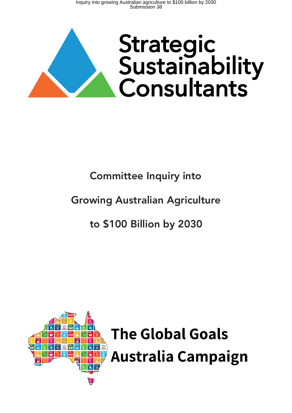

# Committee Inquiry into

# Growing Australian Agriculture

# to \$100 Billion by 2030

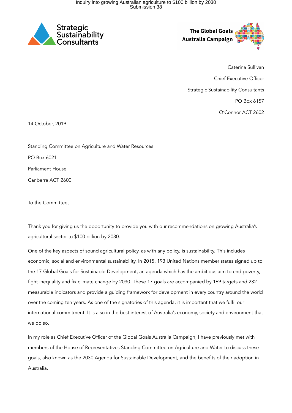

**The Global Goals** Australia Campaign

Caterina Sullivan Chief Executive Officer Strategic Sustainability Consultants PO Box 6157 O'Connor ACT 2602

14 October, 2019

Standing Committee on Agriculture and Water Resources PO Box 6021 Parliament House Canberra ACT 2600

To the Committee,

Thank you for giving us the opportunity to provide you with our recommendations on growing Australia's agricultural sector to \$100 billion by 2030.

One of the key aspects of sound agricultural policy, as with any policy, is sustainability. This includes economic, social and environmental sustainability. In 2015, 193 United Nations member states signed up to the 17 Global Goals for Sustainable Development, an agenda which has the ambitious aim to end poverty, fight inequality and fix climate change by 2030. These 17 goals are accompanied by 169 targets and 232 measurable indicators and provide a guiding framework for development in every country around the world over the coming ten years. As one of the signatories of this agenda, it is important that we fulfil our international commitment. It is also in the best interest of Australia's economy, society and environment that we do so.

In my role as Chief Executive Officer of the Global Goals Australia Campaign, I have previously met with members of the House of Representatives Standing Committee on Agriculture and Water to discuss these goals, also known as the 2030 Agenda for Sustainable Development, and the benefits of their adoption in Australia.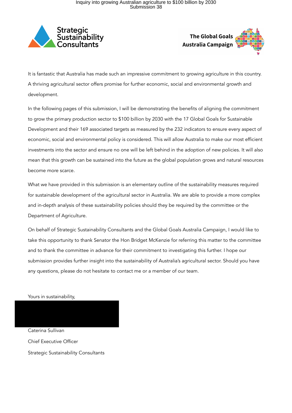



It is fantastic that Australia has made such an impressive commitment to growing agriculture in this country. A thriving agricultural sector offers promise for further economic, social and environmental growth and development.

In the following pages of this submission, I will be demonstrating the benefits of aligning the commitment to grow the primary production sector to \$100 billion by 2030 with the 17 Global Goals for Sustainable Development and their 169 associated targets as measured by the 232 indicators to ensure every aspect of economic, social and environmental policy is considered. This will allow Australia to make our most efficient investments into the sector and ensure no one will be left behind in the adoption of new policies. It will also mean that this growth can be sustained into the future as the global population grows and natural resources become more scarce.

What we have provided in this submission is an elementary outline of the sustainability measures required for sustainable development of the agricultural sector in Australia. We are able to provide a more complex and in-depth analysis of these sustainability policies should they be required by the committee or the Department of Agriculture.

On behalf of Strategic Sustainability Consultants and the Global Goals Australia Campaign, I would like to take this opportunity to thank Senator the Hon Bridget McKenzie for referring this matter to the committee and to thank the committee in advance for their commitment to investigating this further. I hope our submission provides further insight into the sustainability of Australia's agricultural sector. Should you have any questions, please do not hesitate to contact me or a member of our team.

Yours in sustainability,

Caterina Sullivan Chief Executive Officer Strategic Sustainability Consultants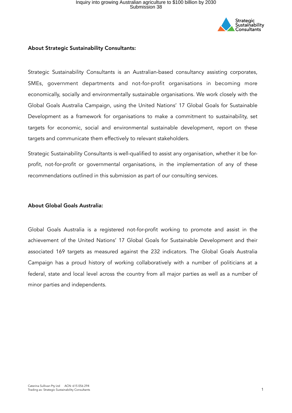

### About Strategic Sustainability Consultants:

Strategic Sustainability Consultants is an Australian-based consultancy assisting corporates, SMEs, government departments and not-for-profit organisations in becoming more economically, socially and environmentally sustainable organisations. We work closely with the Global Goals Australia Campaign, using the United Nations' 17 Global Goals for Sustainable Development as a framework for organisations to make a commitment to sustainability, set targets for economic, social and environmental sustainable development, report on these targets and communicate them effectively to relevant stakeholders.

Strategic Sustainability Consultants is well-qualified to assist any organisation, whether it be forprofit, not-for-profit or governmental organisations, in the implementation of any of these recommendations outlined in this submission as part of our consulting services.

#### About Global Goals Australia:

Global Goals Australia is a registered not-for-profit working to promote and assist in the achievement of the United Nations' 17 Global Goals for Sustainable Development and their associated 169 targets as measured against the 232 indicators. The Global Goals Australia Campaign has a proud history of working collaboratively with a number of politicians at a federal, state and local level across the country from all major parties as well as a number of minor parties and independents.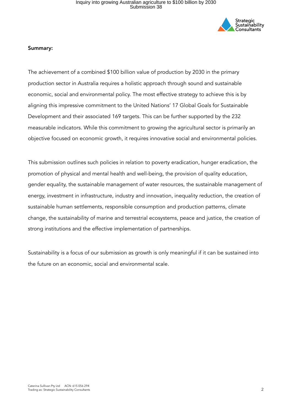

#### Summary:

The achievement of a combined \$100 billion value of production by 2030 in the primary production sector in Australia requires a holistic approach through sound and sustainable economic, social and environmental policy. The most effective strategy to achieve this is by aligning this impressive commitment to the United Nations' 17 Global Goals for Sustainable Development and their associated 169 targets. This can be further supported by the 232 measurable indicators. While this commitment to growing the agricultural sector is primarily an objective focused on economic growth, it requires innovative social and environmental policies.

This submission outlines such policies in relation to poverty eradication, hunger eradication, the promotion of physical and mental health and well-being, the provision of quality education, gender equality, the sustainable management of water resources, the sustainable management of energy, investment in infrastructure, industry and innovation, inequality reduction, the creation of sustainable human settlements, responsible consumption and production patterns, climate change, the sustainability of marine and terrestrial ecosystems, peace and justice, the creation of strong institutions and the effective implementation of partnerships.

Sustainability is a focus of our submission as growth is only meaningful if it can be sustained into the future on an economic, social and environmental scale.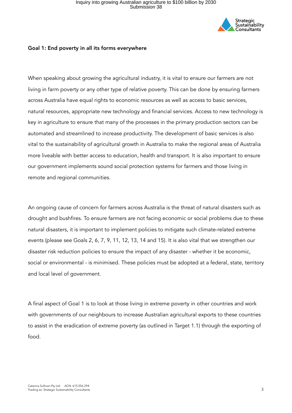

### Goal 1: End poverty in all its forms everywhere

When speaking about growing the agricultural industry, it is vital to ensure our farmers are not living in farm poverty or any other type of relative poverty. This can be done by ensuring farmers across Australia have equal rights to economic resources as well as access to basic services, natural resources, appropriate new technology and financial services. Access to new technology is key in agriculture to ensure that many of the processes in the primary production sectors can be automated and streamlined to increase productivity. The development of basic services is also vital to the sustainability of agricultural growth in Australia to make the regional areas of Australia more liveable with better access to education, health and transport. It is also important to ensure our government implements sound social protection systems for farmers and those living in remote and regional communities.

An ongoing cause of concern for farmers across Australia is the threat of natural disasters such as drought and bushfires. To ensure farmers are not facing economic or social problems due to these natural disasters, it is important to implement policies to mitigate such climate-related extreme events (please see Goals 2, 6, 7, 9, 11, 12, 13, 14 and 15). It is also vital that we strengthen our disaster risk reduction policies to ensure the impact of any disaster - whether it be economic, social or environmental - is minimised. These policies must be adopted at a federal, state, territory and local level of government.

A final aspect of Goal 1 is to look at those living in extreme poverty in other countries and work with governments of our neighbours to increase Australian agricultural exports to these countries to assist in the eradication of extreme poverty (as outlined in Target 1.1) through the exporting of food.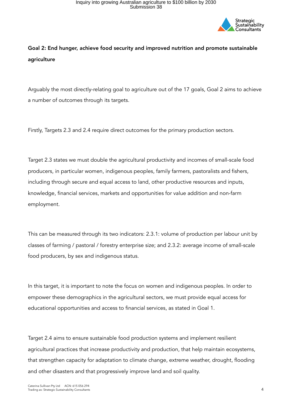

### Goal 2: End hunger, achieve food security and improved nutrition and promote sustainable agriculture

Arguably the most directly-relating goal to agriculture out of the 17 goals, Goal 2 aims to achieve a number of outcomes through its targets.

Firstly, Targets 2.3 and 2.4 require direct outcomes for the primary production sectors.

Target 2.3 states we must double the agricultural productivity and incomes of small-scale food producers, in particular women, indigenous peoples, family farmers, pastoralists and fishers, including through secure and equal access to land, other productive resources and inputs, knowledge, financial services, markets and opportunities for value addition and non-farm employment.

This can be measured through its two indicators: 2.3.1: volume of production per labour unit by classes of farming / pastoral / forestry enterprise size; and 2.3.2: average income of small-scale food producers, by sex and indigenous status.

In this target, it is important to note the focus on women and indigenous peoples. In order to empower these demographics in the agricultural sectors, we must provide equal access for educational opportunities and access to financial services, as stated in Goal 1.

Target 2.4 aims to ensure sustainable food production systems and implement resilient agricultural practices that increase productivity and production, that help maintain ecosystems, that strengthen capacity for adaptation to climate change, extreme weather, drought, flooding and other disasters and that progressively improve land and soil quality.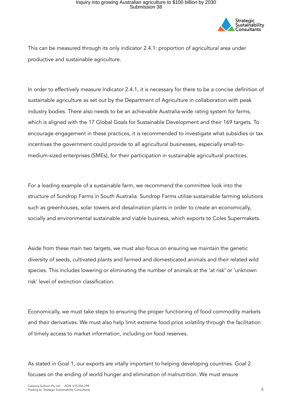

This can be measured through its only indicator 2.4.1: proportion of agricultural area under productive and sustainable agriculture.

In order to effectively measure Indicator 2.4.1, it is necessary for there to be a concise definition of sustainable agriculture as set out by the Department of Agriculture in collaboration with peak industry bodies. There also needs to be an achievable Australia-wide rating system for farms, which is aligned with the 17 Global Goals for Sustainable Development and their 169 targets. To encourage engagement in these practices, it is recommended to investigate what subsidies or tax incentives the government could provide to all agricultural businesses, especially small-tomedium-sized enterprises (SMEs), for their participation in sustainable agricultural practices.

For a leading example of a sustainable farm, we recommend the committee look into the structure of Sundrop Farms in South Australia. Sundrop Farms utilise sustainable farming solutions such as greenhouses, solar towers and desalination plants in order to create an economically, socially and environmental sustainable and viable business, which exports to Coles Supermakets.

Aside from these main two targets, we must also focus on ensuring we maintain the genetic diversity of seeds, cultivated plants and farmed and domesticated animals and their related wild species. This includes lowering or eliminating the number of animals at the 'at risk' or 'unknown risk' level of extinction classification.

Economically, we must take steps to ensuring the proper functioning of food commodity markets and their derivatives. We must also help limit extreme food price volatility through the facilitation of timely access to market information, including on food reserves.

As stated in Goal 1, our exports are vitally important to helping developing countries. Goal 2 focuses on the ending of world hunger and elimination of malnutrition. We must ensure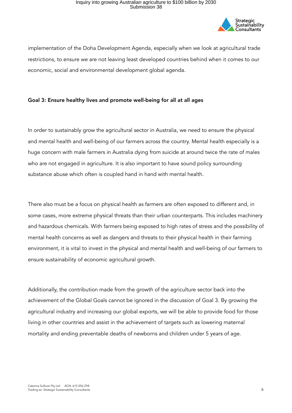

implementation of the Doha Development Agenda, especially when we look at agricultural trade restrictions, to ensure we are not leaving least developed countries behind when it comes to our economic, social and environmental development global agenda.

### Goal 3: Ensure healthy lives and promote well-being for all at all ages

In order to sustainably grow the agricultural sector in Australia, we need to ensure the physical and mental health and well-being of our farmers across the country. Mental health especially is a huge concern with male farmers in Australia dying from suicide at around twice the rate of males who are not engaged in agriculture. It is also important to have sound policy surrounding substance abuse which often is coupled hand in hand with mental health.

There also must be a focus on physical health as farmers are often exposed to different and, in some cases, more extreme physical threats than their urban counterparts. This includes machinery and hazardous chemicals. With farmers being exposed to high rates of stress and the possibility of mental health concerns as well as dangers and threats to their physical health in their farming environment, it is vital to invest in the physical and mental health and well-being of our farmers to ensure sustainability of economic agricultural growth.

Additionally, the contribution made from the growth of the agriculture sector back into the achievement of the Global Goals cannot be ignored in the discussion of Goal 3. By growing the agricultural industry and increasing our global exports, we will be able to provide food for those living in other countries and assist in the achievement of targets such as lowering maternal mortality and ending preventable deaths of newborns and children under 5 years of age.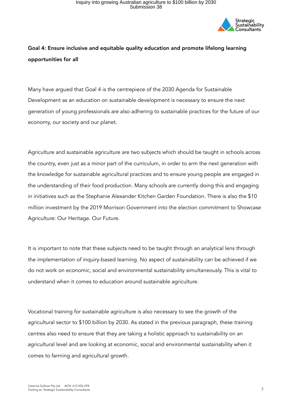

### Goal 4: Ensure inclusive and equitable quality education and promote lifelong learning opportunities for all

Many have argued that Goal 4 is the centrepiece of the 2030 Agenda for Sustainable Development as an education on sustainable development is necessary to ensure the next generation of young professionals are also adhering to sustainable practices for the future of our economy, our society and our planet.

Agriculture and sustainable agriculture are two subjects which should be taught in schools across the country, even just as a minor part of the curriculum, in order to arm the next generation with the knowledge for sustainable agricultural practices and to ensure young people are engaged in the understanding of their food production. Many schools are currently doing this and engaging in initiatives such as the Stephanie Alexander Kitchen Garden Foundation. There is also the \$10 million investment by the 2019 Morrison Government into the election commitment to Showcase Agriculture: Our Heritage. Our Future.

It is important to note that these subjects need to be taught through an analytical lens through the implementation of inquiry-based learning. No aspect of sustainability can be achieved if we do not work on economic, social and environmental sustainability simultaneously. This is vital to understand when it comes to education around sustainable agriculture.

Vocational training for sustainable agriculture is also necessary to see the growth of the agricultural sector to \$100 billion by 2030. As stated in the previous paragraph, these training centres also need to ensure that they are taking a holistic approach to sustainability on an agricultural level and are looking at economic, social and environmental sustainability when it comes to farming and agricultural growth.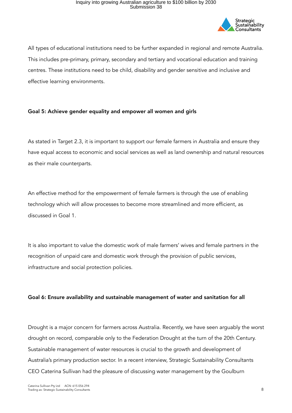

All types of educational institutions need to be further expanded in regional and remote Australia. This includes pre-primary, primary, secondary and tertiary and vocational education and training centres. These institutions need to be child, disability and gender sensitive and inclusive and effective learning environments.

### Goal 5: Achieve gender equality and empower all women and girls

As stated in Target 2.3, it is important to support our female farmers in Australia and ensure they have equal access to economic and social services as well as land ownership and natural resources as their male counterparts.

An effective method for the empowerment of female farmers is through the use of enabling technology which will allow processes to become more streamlined and more efficient, as discussed in Goal 1.

It is also important to value the domestic work of male farmers' wives and female partners in the recognition of unpaid care and domestic work through the provision of public services, infrastructure and social protection policies.

### Goal 6: Ensure availability and sustainable management of water and sanitation for all

Drought is a major concern for farmers across Australia. Recently, we have seen arguably the worst drought on record, comparable only to the Federation Drought at the turn of the 20th Century. Sustainable management of water resources is crucial to the growth and development of Australia's primary production sector. In a recent interview, Strategic Sustainability Consultants CEO Caterina Sullivan had the pleasure of discussing water management by the Goulburn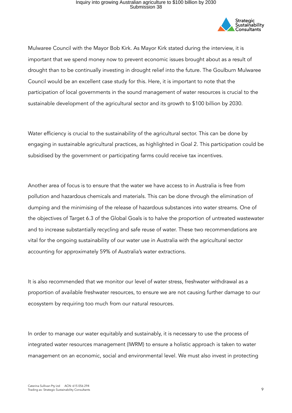

Mulwaree Council with the Mayor Bob Kirk. As Mayor Kirk stated during the interview, it is important that we spend money now to prevent economic issues brought about as a result of drought than to be continually investing in drought relief into the future. The Goulburn Mulwaree Council would be an excellent case study for this. Here, it is important to note that the participation of local governments in the sound management of water resources is crucial to the sustainable development of the agricultural sector and its growth to \$100 billion by 2030.

Water efficiency is crucial to the sustainability of the agricultural sector. This can be done by engaging in sustainable agricultural practices, as highlighted in Goal 2. This participation could be subsidised by the government or participating farms could receive tax incentives.

Another area of focus is to ensure that the water we have access to in Australia is free from pollution and hazardous chemicals and materials. This can be done through the elimination of dumping and the minimising of the release of hazardous substances into water streams. One of the objectives of Target 6.3 of the Global Goals is to halve the proportion of untreated wastewater and to increase substantially recycling and safe reuse of water. These two recommendations are vital for the ongoing sustainability of our water use in Australia with the agricultural sector accounting for approximately 59% of Australia's water extractions.

It is also recommended that we monitor our level of water stress, freshwater withdrawal as a proportion of available freshwater resources, to ensure we are not causing further damage to our ecosystem by requiring too much from our natural resources.

In order to manage our water equitably and sustainably, it is necessary to use the process of integrated water resources management (IWRM) to ensure a holistic approach is taken to water management on an economic, social and environmental level. We must also invest in protecting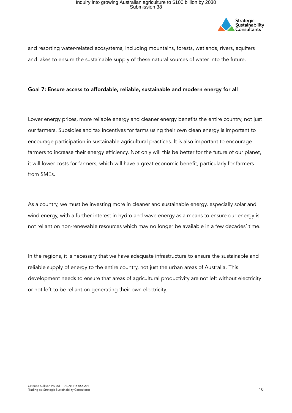

and resorting water-related ecosystems, including mountains, forests, wetlands, rivers, aquifers and lakes to ensure the sustainable supply of these natural sources of water into the future.

### Goal 7: Ensure access to affordable, reliable, sustainable and modern energy for all

Lower energy prices, more reliable energy and cleaner energy benefits the entire country, not just our farmers. Subsidies and tax incentives for farms using their own clean energy is important to encourage participation in sustainable agricultural practices. It is also important to encourage farmers to increase their energy efficiency. Not only will this be better for the future of our planet, it will lower costs for farmers, which will have a great economic benefit, particularly for farmers from SMEs.

As a country, we must be investing more in cleaner and sustainable energy, especially solar and wind energy, with a further interest in hydro and wave energy as a means to ensure our energy is not reliant on non-renewable resources which may no longer be available in a few decades' time.

In the regions, it is necessary that we have adequate infrastructure to ensure the sustainable and reliable supply of energy to the entire country, not just the urban areas of Australia. This development needs to ensure that areas of agricultural productivity are not left without electricity or not left to be reliant on generating their own electricity.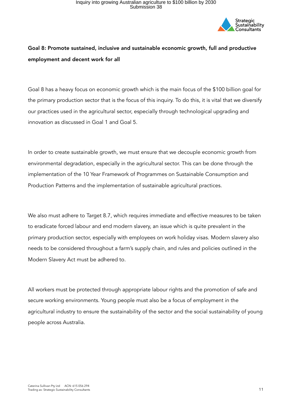

### Goal 8: Promote sustained, inclusive and sustainable economic growth, full and productive employment and decent work for all

Goal 8 has a heavy focus on economic growth which is the main focus of the \$100 billion goal for the primary production sector that is the focus of this inquiry. To do this, it is vital that we diversify our practices used in the agricultural sector, especially through technological upgrading and innovation as discussed in Goal 1 and Goal 5.

In order to create sustainable growth, we must ensure that we decouple economic growth from environmental degradation, especially in the agricultural sector. This can be done through the implementation of the 10 Year Framework of Programmes on Sustainable Consumption and Production Patterns and the implementation of sustainable agricultural practices.

We also must adhere to Target 8.7, which requires immediate and effective measures to be taken to eradicate forced labour and end modern slavery, an issue which is quite prevalent in the primary production sector, especially with employees on work holiday visas. Modern slavery also needs to be considered throughout a farm's supply chain, and rules and policies outlined in the Modern Slavery Act must be adhered to.

All workers must be protected through appropriate labour rights and the promotion of safe and secure working environments. Young people must also be a focus of employment in the agricultural industry to ensure the sustainability of the sector and the social sustainability of young people across Australia.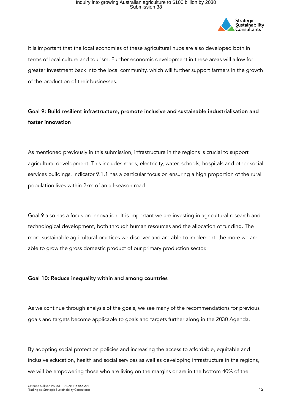

It is important that the local economies of these agricultural hubs are also developed both in terms of local culture and tourism. Further economic development in these areas will allow for greater investment back into the local community, which will further support farmers in the growth of the production of their businesses.

### Goal 9: Build resilient infrastructure, promote inclusive and sustainable industrialisation and foster innovation

As mentioned previously in this submission, infrastructure in the regions is crucial to support agricultural development. This includes roads, electricity, water, schools, hospitals and other social services buildings. Indicator 9.1.1 has a particular focus on ensuring a high proportion of the rural population lives within 2km of an all-season road.

Goal 9 also has a focus on innovation. It is important we are investing in agricultural research and technological development, both through human resources and the allocation of funding. The more sustainable agricultural practices we discover and are able to implement, the more we are able to grow the gross domestic product of our primary production sector.

### Goal 10: Reduce inequality within and among countries

As we continue through analysis of the goals, we see many of the recommendations for previous goals and targets become applicable to goals and targets further along in the 2030 Agenda.

By adopting social protection policies and increasing the access to affordable, equitable and inclusive education, health and social services as well as developing infrastructure in the regions, we will be empowering those who are living on the margins or are in the bottom 40% of the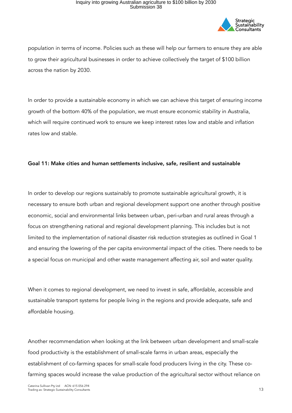

population in terms of income. Policies such as these will help our farmers to ensure they are able to grow their agricultural businesses in order to achieve collectively the target of \$100 billion across the nation by 2030.

In order to provide a sustainable economy in which we can achieve this target of ensuring income growth of the bottom 40% of the population, we must ensure economic stability in Australia, which will require continued work to ensure we keep interest rates low and stable and inflation rates low and stable.

#### Goal 11: Make cities and human settlements inclusive, safe, resilient and sustainable

In order to develop our regions sustainably to promote sustainable agricultural growth, it is necessary to ensure both urban and regional development support one another through positive economic, social and environmental links between urban, peri-urban and rural areas through a focus on strengthening national and regional development planning. This includes but is not limited to the implementation of national disaster risk reduction strategies as outlined in Goal 1 and ensuring the lowering of the per capita environmental impact of the cities. There needs to be a special focus on municipal and other waste management affecting air, soil and water quality.

When it comes to regional development, we need to invest in safe, affordable, accessible and sustainable transport systems for people living in the regions and provide adequate, safe and affordable housing.

Another recommendation when looking at the link between urban development and small-scale food productivity is the establishment of small-scale farms in urban areas, especially the establishment of co-farming spaces for small-scale food producers living in the city. These cofarming spaces would increase the value production of the agricultural sector without reliance on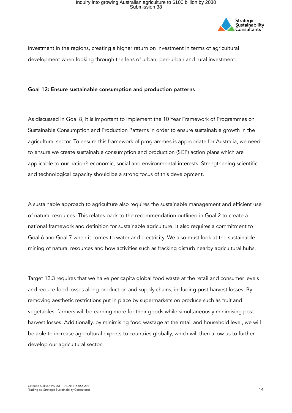

investment in the regions, creating a higher return on investment in terms of agricultural development when looking through the lens of urban, peri-urban and rural investment.

#### Goal 12: Ensure sustainable consumption and production patterns

As discussed in Goal 8, it is important to implement the 10 Year Framework of Programmes on Sustainable Consumption and Production Patterns in order to ensure sustainable growth in the agricultural sector. To ensure this framework of programmes is appropriate for Australia, we need to ensure we create sustainable consumption and production (SCP) action plans which are applicable to our nation's economic, social and environmental interests. Strengthening scientific and technological capacity should be a strong focus of this development.

A sustainable approach to agriculture also requires the sustainable management and efficient use of natural resources. This relates back to the recommendation outlined in Goal 2 to create a national framework and definition for sustainable agriculture. It also requires a commitment to Goal 6 and Goal 7 when it comes to water and electricity. We also must look at the sustainable mining of natural resources and how activities such as fracking disturb nearby agricultural hubs.

Target 12.3 requires that we halve per capita global food waste at the retail and consumer levels and reduce food losses along production and supply chains, including post-harvest losses. By removing aesthetic restrictions put in place by supermarkets on produce such as fruit and vegetables, farmers will be earning more for their goods while simultaneously minimising postharvest losses. Additionally, by minimising food wastage at the retail and household level, we will be able to increase agricultural exports to countries globally, which will then allow us to further develop our agricultural sector.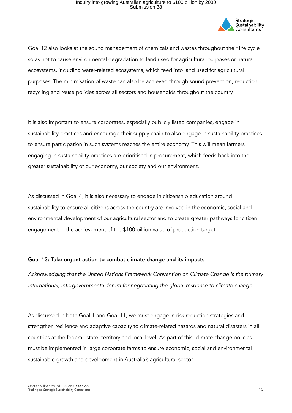

Goal 12 also looks at the sound management of chemicals and wastes throughout their life cycle so as not to cause environmental degradation to land used for agricultural purposes or natural ecosystems, including water-related ecosystems, which feed into land used for agricultural purposes. The minimisation of waste can also be achieved through sound prevention, reduction recycling and reuse policies across all sectors and households throughout the country.

It is also important to ensure corporates, especially publicly listed companies, engage in sustainability practices and encourage their supply chain to also engage in sustainability practices to ensure participation in such systems reaches the entire economy. This will mean farmers engaging in sustainability practices are prioritised in procurement, which feeds back into the greater sustainability of our economy, our society and our environment.

As discussed in Goal 4, it is also necessary to engage in citizenship education around sustainability to ensure all citizens across the country are involved in the economic, social and environmental development of our agricultural sector and to create greater pathways for citizen engagement in the achievement of the \$100 billion value of production target.

### Goal 13: Take urgent action to combat climate change and its impacts

*Acknowledging that the United Nations Framework Convention on Climate Change is the primary international, intergovernmental forum for negotiating the global response to climate change* 

As discussed in both Goal 1 and Goal 11, we must engage in risk reduction strategies and strengthen resilience and adaptive capacity to climate-related hazards and natural disasters in all countries at the federal, state, territory and local level. As part of this, climate change policies must be implemented in large corporate farms to ensure economic, social and environmental sustainable growth and development in Australia's agricultural sector.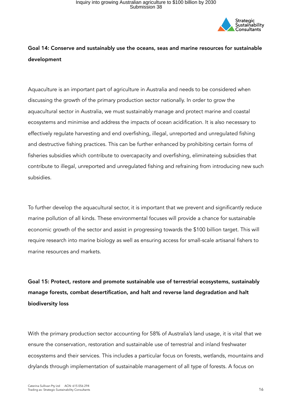

### Goal 14: Conserve and sustainably use the oceans, seas and marine resources for sustainable development

Aquaculture is an important part of agriculture in Australia and needs to be considered when discussing the growth of the primary production sector nationally. In order to grow the aquacultural sector in Australia, we must sustainably manage and protect marine and coastal ecosystems and minimise and address the impacts of ocean acidification. It is also necessary to effectively regulate harvesting and end overfishing, illegal, unreported and unregulated fishing and destructive fishing practices. This can be further enhanced by prohibiting certain forms of fisheries subsidies which contribute to overcapacity and overfishing, eliminateing subsidies that contribute to illegal, unreported and unregulated fishing and refraining from introducing new such subsidies.

To further develop the aquacultural sector, it is important that we prevent and significantly reduce marine pollution of all kinds. These environmental focuses will provide a chance for sustainable economic growth of the sector and assist in progressing towards the \$100 billion target. This will require research into marine biology as well as ensuring access for small-scale artisanal fishers to marine resources and markets.

Goal 15: Protect, restore and promote sustainable use of terrestrial ecosystems, sustainably manage forests, combat desertification, and halt and reverse land degradation and halt biodiversity loss

With the primary production sector accounting for 58% of Australia's land usage, it is vital that we ensure the conservation, restoration and sustainable use of terrestrial and inland freshwater ecosystems and their services. This includes a particular focus on forests, wetlands, mountains and drylands through implementation of sustainable management of all type of forests. A focus on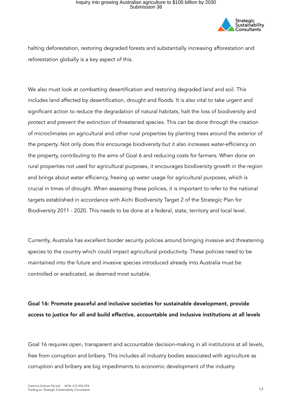

halting deforestation, restoring degraded forests and substantially increasing afforestation and reforestation globally is a key aspect of this.

We also must look at combatting desertification and restoring degraded land and soil. This includes land affected by desertification, drought and floods. It is also vital to take urgent and significant action to reduce the degradation of natural habitats, halt the loss of biodiversity and protect and prevent the extinction of threatened species. This can be done through the creation of microclimates on agricultural and other rural properties by planting trees around the exterior of the property. Not only does this encourage biodiversity but it also increases water-efficiency on the property, contributing to the aims of Goal 6 and reducing costs for farmers. When done on rural properties not used for agricultural purposes, it encourages biodiversity growth in the region and brings about water efficiency, freeing up water usage for agricultural purposes, which is crucial in times of drought. When assessing these policies, it is important to refer to the national targets established in accordance with Aichi Biodiversity Target 2 of the Strategic Plan for Biodiversity 2011 - 2020. This needs to be done at a federal, state, territory and local level.

Currently, Australia has excellent border security policies around bringing invasive and threatening species to the country which could impact agricultural productivity. These policies need to be maintained into the future and invasive species introduced already into Australia must be controlled or eradicated, as deemed most suitable.

Goal 16: Promote peaceful and inclusive societies for sustainable development, provide access to justice for all and build effective, accountable and inclusive institutions at all levels

Goal 16 requires open, transparent and accountable decision-making in all institutions at all levels, free from corruption and bribery. This includes all industry bodies associated with agriculture as corruption and bribery are big impediments to economic development of the industry.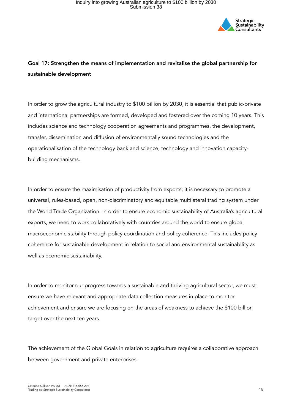

### Goal 17: Strengthen the means of implementation and revitalise the global partnership for sustainable development

In order to grow the agricultural industry to \$100 billion by 2030, it is essential that public-private and international partnerships are formed, developed and fostered over the coming 10 years. This includes science and technology cooperation agreements and programmes, the development, transfer, dissemination and diffusion of environmentally sound technologies and the operationalisation of the technology bank and science, technology and innovation capacitybuilding mechanisms.

In order to ensure the maximisation of productivity from exports, it is necessary to promote a universal, rules-based, open, non-discriminatory and equitable multilateral trading system under the World Trade Organization. In order to ensure economic sustainability of Australia's agricultural exports, we need to work collaboratively with countries around the world to ensure global macroeconomic stability through policy coordination and policy coherence. This includes policy coherence for sustainable development in relation to social and environmental sustainability as well as economic sustainability.

In order to monitor our progress towards a sustainable and thriving agricultural sector, we must ensure we have relevant and appropriate data collection measures in place to monitor achievement and ensure we are focusing on the areas of weakness to achieve the \$100 billion target over the next ten years.

The achievement of the Global Goals in relation to agriculture requires a collaborative approach between government and private enterprises.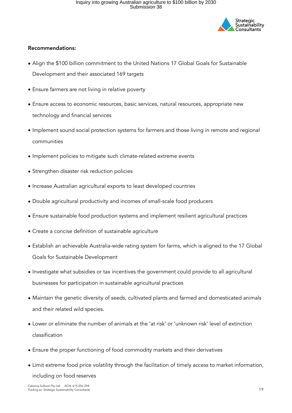

### Recommendations:

- Align the \$100 billion commitment to the United Nations 17 Global Goals for Sustainable Development and their associated 169 targets
- Ensure farmers are not living in relative poverty
- Ensure access to economic resources, basic services, natural resources, appropriate new technology and financial services
- Implement sound social protection systems for farmers and those living in remote and regional communities
- Implement policies to mitigate such climate-related extreme events
- Strengthen disaster risk reduction policies
- Increase Australian agricultural exports to least developed countries
- Double agricultural productivity and incomes of small-scale food producers
- Ensure sustainable food production systems and implement resilient agricultural practices
- Create a concise definition of sustainable agriculture
- Establish an achievable Australia-wide rating system for farms, which is aligned to the 17 Global Goals for Sustainable Development
- Investigate what subsidies or tax incentives the government could provide to all agricultural businesses for participation in sustainable agricultural practices
- Maintain the genetic diversity of seeds, cultivated plants and farmed and domesticated animals and their related wild species.
- Lower or eliminate the number of animals at the 'at risk' or 'unknown risk' level of extinction classification
- Ensure the proper functioning of food commodity markets and their derivatives
- Limit extreme food price volatility through the facilitation of timely access to market information, including on food reserves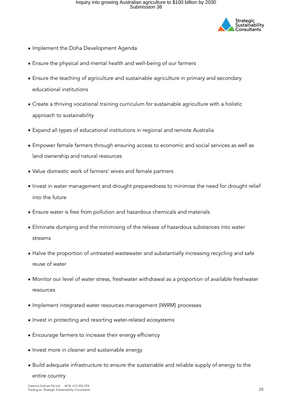

- Implement the Doha Development Agenda
- Ensure the physical and mental health and well-being of our farmers
- Ensure the teaching of agriculture and sustainable agriculture in primary and secondary educational institutions
- Create a thriving vocational training curriculum for sustainable agriculture with a holistic approach to sustainability
- Expand all types of educational institutions in regional and remote Australia
- Empower female farmers through ensuring access to economic and social services as well as land ownership and natural resources
- Value domestic work of farmers' wives and female partners
- Invest in water management and drought preparedness to minimise the need for drought relief into the future
- Ensure water is free from pollution and hazardous chemicals and materials
- Eliminate dumping and the minimising of the release of hazardous substances into water streams
- Halve the proportion of untreated wastewater and substantially increasing recycling and safe reuse of water
- Monitor our level of water stress, freshwater withdrawal as a proportion of available freshwater resources
- Implement integrated water resources management (IWRM) processes
- Invest in protecting and resorting water-related ecosystems
- Encourage farmers to increase their energy efficiency
- Invest more in cleaner and sustainable energy
- Build adequate infrastructure to ensure the sustainable and reliable supply of energy to the entire country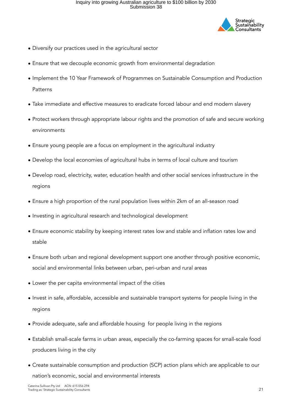

- Diversify our practices used in the agricultural sector
- Ensure that we decouple economic growth from environmental degradation
- Implement the 10 Year Framework of Programmes on Sustainable Consumption and Production Patterns
- Take immediate and effective measures to eradicate forced labour and end modern slavery
- Protect workers through appropriate labour rights and the promotion of safe and secure working environments
- Ensure young people are a focus on employment in the agricultural industry
- Develop the local economies of agricultural hubs in terms of local culture and tourism
- Develop road, electricity, water, education health and other social services infrastructure in the regions
- Ensure a high proportion of the rural population lives within 2km of an all-season road
- Investing in agricultural research and technological development
- Ensure economic stability by keeping interest rates low and stable and inflation rates low and stable
- Ensure both urban and regional development support one another through positive economic, social and environmental links between urban, peri-urban and rural areas
- Lower the per capita environmental impact of the cities
- Invest in safe, affordable, accessible and sustainable transport systems for people living in the regions
- Provide adequate, safe and affordable housing for people living in the regions
- Establish small-scale farms in urban areas, especially the co-farming spaces for small-scale food producers living in the city
- Create sustainable consumption and production (SCP) action plans which are applicable to our nation's economic, social and environmental interests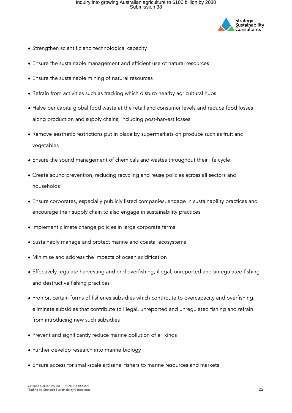

- Strengthen scientific and technological capacity
- Ensure the sustainable management and efficient use of natural resources
- Ensure the sustainable mining of natural resources
- Refrain from activities such as fracking which disturb nearby agricultural hubs
- Halve per capita global food waste at the retail and consumer levels and reduce food losses along production and supply chains, including post-harvest losses
- Remove aesthetic restrictions put in place by supermarkets on produce such as fruit and vegetables
- Ensure the sound management of chemicals and wastes throughout their life cycle
- Create sound prevention, reducing recycling and reuse policies across all sectors and households
- Ensure corporates, especially publicly listed companies, engage in sustainability practices and encourage their supply chain to also engage in sustainability practices
- Implement climate change policies in large corporate farms
- Sustainably manage and protect marine and coastal ecosystems
- Minimise and address the impacts of ocean acidification
- Effectively regulate harvesting and end overfishing, illegal, unreported and unregulated fishing and destructive fishing practices
- Prohibit certain forms of fisheries subsidies which contribute to overcapacity and overfishing, eliminate subsidies that contribute to illegal, unreported and unregulated fishing and refrain from introducing new such subsidies
- Prevent and significantly reduce marine pollution of all kinds
- Further develop research into marine biology
- Ensure access for small-scale artisanal fishers to marine resources and markets